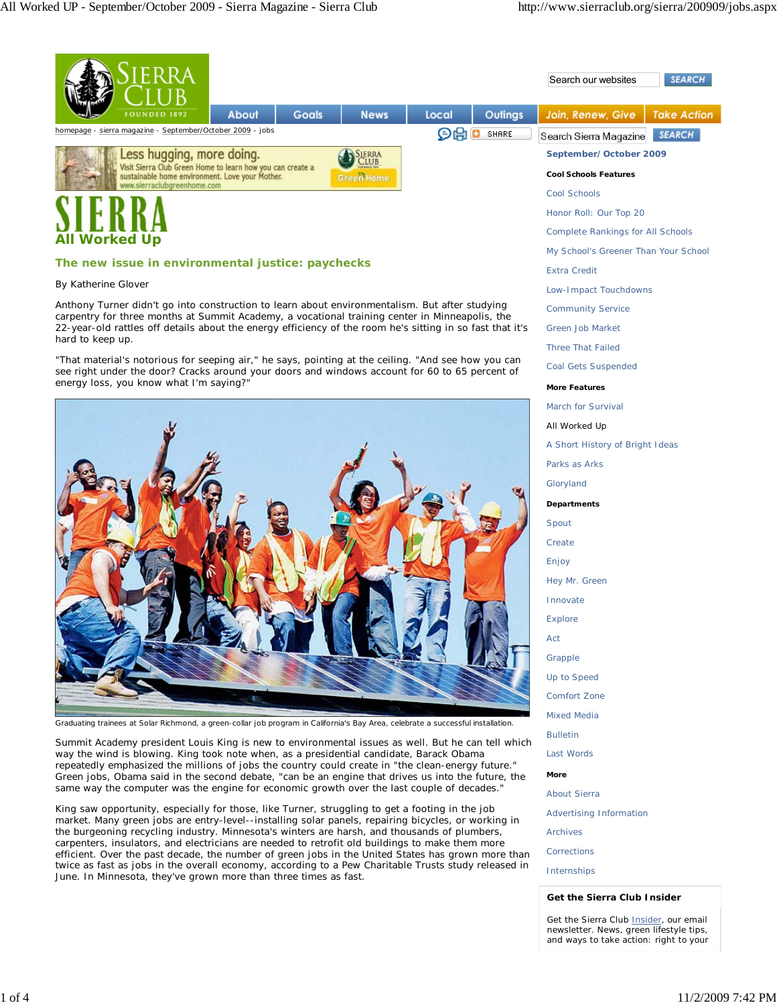|                                                                                                               | ERRA                                                       |       |              |                                                             |                              |                                          | Search our websites | <b>SEARCH</b>      |
|---------------------------------------------------------------------------------------------------------------|------------------------------------------------------------|-------|--------------|-------------------------------------------------------------|------------------------------|------------------------------------------|---------------------|--------------------|
|                                                                                                               | <b>FOUNDED 1892</b>                                        | About | <b>Goals</b> | <b>News</b>                                                 | Local                        | Outings                                  | Join, Renew, Give   | <b>Take Action</b> |
|                                                                                                               | homepage - sierra magazine - September/October 2009 - jobs |       |              | しけ<br>SHARE<br>o<br><b>SEARCH</b><br>Search Sierra Magazine |                              |                                          |                     |                    |
| Less hugging, more doing.<br><b>SJERRA</b>                                                                    |                                                            |       |              |                                                             | September/October 2009       |                                          |                     |                    |
| Visit Sierra Club Green Home to learn how you can create a<br>sustainable home environment. Love your Mother. |                                                            |       |              | Green Home                                                  | <b>Cool Schools Features</b> |                                          |                     |                    |
| www.sierraclubgreenhome.com                                                                                   |                                                            |       |              |                                                             | Cool Schools                 |                                          |                     |                    |
|                                                                                                               |                                                            |       |              |                                                             | Honor Roll: Our Top 20       |                                          |                     |                    |
| <b>All Worked Up</b>                                                                                          |                                                            |       |              |                                                             |                              | <b>Complete Rankings for All Schools</b> |                     |                    |

## **The new issue in environmental justice: paychecks**

## *By Katherine Glover*

Anthony Turner didn't go into construction to learn about environmentalism. But after studying carpentry for three months at Summit Academy, a vocational training center in Minneapolis, the 22-year-old rattles off details about the energy efficiency of the room he's sitting in so fast that it's hard to keep up.

"That material's notorious for seeping air," he says, pointing at the ceiling. "And see how you can see right under the door? Cracks around your doors and windows account for 60 to 65 percent of energy loss, you know what I'm saying?"



Graduating trainees at Solar Richmond, a green-collar job program in California's Bay Area, celebrate a successful installation.

Summit Academy president Louis King is new to environmental issues as well. But he can tell which way the wind is blowing. King took note when, as a presidential candidate, Barack Obama repeatedly emphasized the millions of jobs the country could create in "the clean-energy future." Green jobs, Obama said in the second debate, "can be an engine that drives us into the future, the same way the computer was the engine for economic growth over the last couple of decades."

King saw opportunity, especially for those, like Turner, struggling to get a footing in the job market. Many green jobs are entry-level--installing solar panels, repairing bicycles, or working in the burgeoning recycling industry. Minnesota's winters are harsh, and thousands of plumbers, carpenters, insulators, and electricians are needed to retrofit old buildings to make them more efficient. Over the past decade, the number of green jobs in the United States has grown more than twice as fast as jobs in the overall economy, according to a Pew Charitable Trusts study released in June. In Minnesota, they've grown more than three times as fast.

Complete Rankings for All Schools My School's Greener Than Your School Extra Credit Low-Impact Touchdowns Community Service Green Job Market Three That Failed Coal Gets Suspended **More Features** March for Survival All Worked Up A Short History of Bright Ideas Parks as Arks Gloryland **Departments** Spout **Create** Enjoy Hey Mr. Green Innovate Explore Act **Grapple** Up to Speed Comfort Zone Mixed Media Bulletin Last Words **More** About Sierra Advertising Information Archives **Corrections** 

Internships

## **Get the Sierra Club** *Insider*

Get the Sierra Club *Insider*, our email newsletter. News, green lifestyle tips, and ways to take action: right to your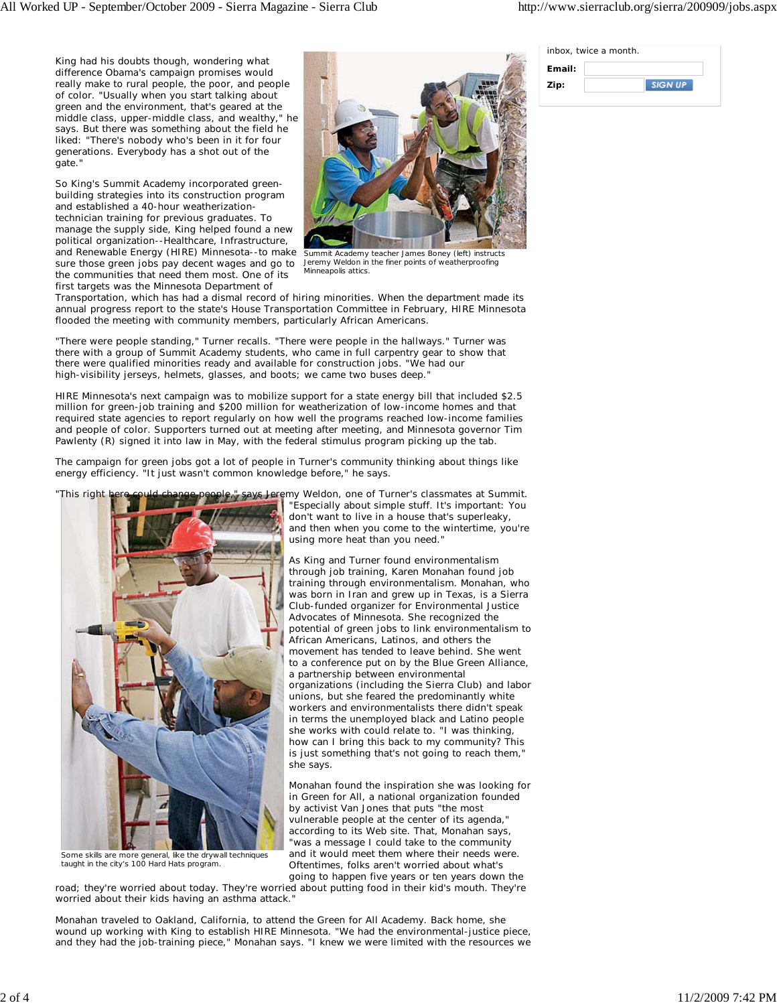inbox, twice a month.

| Email: |  |
|--------|--|
| Zip:   |  |

**SIGN UP** 

King had his doubts though, wondering what difference Obama's campaign promises would really make to rural people, the poor, and people of color. "Usually when you start talking about green and the environment, that's geared at the middle class, upper-middle class, and wealthy," he says. But there was something about the field he liked: "There's nobody who's been in it for four generations. Everybody has a shot out of the gate."

So King's Summit Academy incorporated greenbuilding strategies into its construction program and established a 40-hour weatherizationtechnician training for previous graduates. To manage the supply side, King helped found a new political organization--Healthcare, Infrastructure, and Renewable Energy (HIRE) Minnesota--to make sure those green jobs pay decent wages and go to the communities that need them most. One of its first targets was the Minnesota Department of



Summit Academy teacher James Boney (left) instructs Jeremy Weldon in the finer points of weatherproofing Minneapolis attics.

Transportation, which has had a dismal record of hiring minorities. When the department made its annual progress report to the state's House Transportation Committee in February, HIRE Minnesota flooded the meeting with community members, particularly African Americans.

"There were people standing," Turner recalls. "There were people in the hallways." Turner was there with a group of Summit Academy students, who came in full carpentry gear to show that there were qualified minorities ready and available for construction jobs. "We had our high-visibility jerseys, helmets, glasses, and boots; we came two buses deep."

HIRE Minnesota's next campaign was to mobilize support for a state energy bill that included \$2.5 million for green-job training and \$200 million for weatherization of low-income homes and that required state agencies to report regularly on how well the programs reached low-income families and people of color. Supporters turned out at meeting after meeting, and Minnesota governor Tim Pawlenty (R) signed it into law in May, with the federal stimulus program picking up the tab.

The campaign for green jobs got a lot of people in Turner's community thinking about things like energy efficiency. "It just wasn't common knowledge before," he says.



Some skills are more general, like the drywall techniques taught in the city's 100 Hard Hats program.

"Especially about simple stuff. It's important: You don't want to live in a house that's superleaky, and then when you come to the wintertime, you're using more heat than you need."

As King and Turner found environmentalism through job training, Karen Monahan found job training through environmentalism. Monahan, who was born in Iran and grew up in Texas, is a Sierra Club-funded organizer for Environmental Justice Advocates of Minnesota. She recognized the potential of green jobs to link environmentalism to African Americans, Latinos, and others the movement has tended to leave behind. She went to a conference put on by the Blue Green Alliance, a partnership between environmental organizations (including the Sierra Club) and labor unions, but she feared the predominantly white workers and environmentalists there didn't speak in terms the unemployed black and Latino people she works with could relate to. "I was thinking, how can I bring this back to my community? This is just something that's not going to reach them," she says.

Monahan found the inspiration she was looking for in Green for All, a national organization founded by activist Van Jones that puts "the most vulnerable people at the center of its agenda," according to its Web site. That, Monahan says, "was a message I could take to the community and it would meet them where their needs were. Oftentimes, folks aren't worried about what's going to happen five years or ten years down the

road; they're worried about today. They're worried about putting food in their kid's mouth. They're worried about their kids having an asthma attack."

Monahan traveled to Oakland, California, to attend the Green for All Academy. Back home, she wound up working with King to establish HIRE Minnesota. "We had the environmental-justice piece, and they had the job-training piece," Monahan says. "I knew we were limited with the resources we